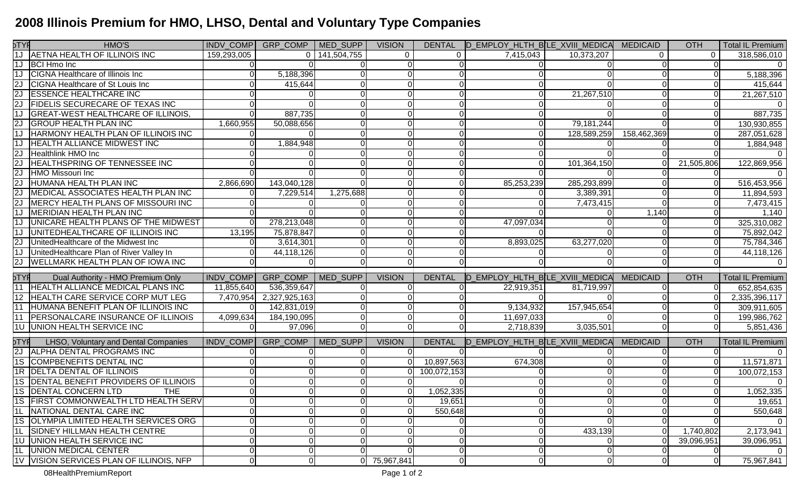## **2008 Illinois Premium for HMO, LHSO, Dental and Voluntary Type Companies**

| DTYF<br>1J      | HMO'S                                      |                | INDV_COMP   GRP_COMP   MED_SUPP |                 | <b>VISION</b> |               | DENTAL ID EMPLOY HLTH BILE XVIII MEDICAL MEDICAID |             |                 | <b>OTH</b> | <b>Total IL Premium</b> |
|-----------------|--------------------------------------------|----------------|---------------------------------|-----------------|---------------|---------------|---------------------------------------------------|-------------|-----------------|------------|-------------------------|
|                 | AETNA HEALTH OF ILLINOIS INC               | 159,293,005    | $\Omega$                        | 141,504,755     | $\mathbf{0}$  |               | 7,415,043                                         | 10,373,207  | 0               | $\Omega$   | 318,586,010             |
| 1J              | <b>BCI Hmo Inc</b>                         |                |                                 |                 |               |               |                                                   |             |                 |            | $\Omega$                |
| 1J              | <b>CIGNA</b> Healthcare of Illinois Inc    |                | 5,188,396                       |                 |               |               |                                                   |             |                 |            | 5,188,396               |
| 2J              | CIGNA Healthcare of St Louis Inc           |                | 415,644                         |                 |               |               |                                                   |             |                 |            | 415,644                 |
| 2J              | <b>ESSENCE HEALTHCARE INC</b>              |                |                                 |                 | $\Omega$      |               |                                                   | 21,267,510  |                 | 0          | 21,267,510              |
| 2J              | <b>FIDELIS SECURECARE OF TEXAS INC</b>     |                |                                 |                 | $\Omega$      |               |                                                   |             |                 | 0          | $\Omega$                |
| 1J              | GREAT-WEST HEALTHCARE OF ILLINOIS,         | U              | 887,735                         |                 | $\Omega$      |               |                                                   |             |                 | $\Omega$   | 887,735                 |
| 2J              | <b>GROUP HEALTH PLAN INC</b>               | 1,660,955      | 50,088,656                      |                 | $\Omega$      |               | 0                                                 | 79,181,244  |                 | $\Omega$   | 130,930,855             |
| 1J              | <b>HARMONY HEALTH PLAN OF ILLINOIS INC</b> | U              |                                 |                 | $\Omega$      |               |                                                   | 128,589,259 | 158,462,369     | $\Omega$   | 287,051,628             |
| 1J              | <b>HEALTH ALLIANCE MIDWEST INC</b>         |                | 1,884,948                       |                 |               |               |                                                   |             |                 | O          | 1,884,948               |
| 2J              | Healthlink HMO Inc                         |                |                                 |                 |               |               |                                                   |             |                 |            |                         |
| 2J              | <b>HEALTHSPRING OF TENNESSEE INC</b>       |                |                                 |                 |               |               |                                                   | 101,364,150 |                 | 21,505,806 | 122,869,956             |
| 2J              | HMO Missouri Inc                           |                |                                 |                 | $\Omega$      |               |                                                   |             |                 |            |                         |
| 2J              | HUMANA HEALTH PLAN INC                     | 2,866,690      | 143,040,128                     |                 |               |               | 85,253,239                                        | 285,293,899 |                 | 0          | 516,453,956             |
| 2J              | MEDICAL ASSOCIATES HEALTH PLAN INC         |                | 7,229,514                       | 1,275,688       |               |               |                                                   | 3,389,391   |                 |            | 11,894,593              |
|                 | MERCY HEALTH PLANS OF MISSOURI INC         |                |                                 |                 |               |               |                                                   | 7,473,415   |                 |            | 7,473,415               |
|                 | MERIDIAN HEALTH PLAN INC                   |                |                                 |                 | $\Omega$      |               |                                                   |             | 1,140           |            | 1,140                   |
|                 | UNICARE HEALTH PLANS OF THE MIDWEST        |                | 278,213,048                     |                 |               |               | 47,097,034                                        |             |                 | 01         | 325,310,082             |
| 1J              | UNITEDHEALTHCARE OF ILLINOIS INC           | 13,195         | 75,878,847                      |                 |               |               |                                                   |             |                 |            | 75,892,042              |
| 2J              | UnitedHealthcare of the Midwest Inc        | $\Omega$       | 3,614,301                       |                 | U             |               | 8,893,025                                         | 63,277,020  |                 |            | 75,784,346              |
| 1J              | UnitedHealthcare Plan of River Valley In   |                | 44,118,126                      |                 | $\Omega$      |               |                                                   |             |                 |            | 44,118,126              |
| 2J              | <b>WELLMARK HEALTH PLAN OF IOWA INC</b>    | $\Omega$       |                                 |                 | $\Omega$      |               |                                                   |             |                 | 0          |                         |
|                 |                                            |                |                                 |                 |               |               |                                                   |             |                 |            |                         |
| $5$ TYF         | Dual Authority - HMO Premium Only          | INDV_COMP      | GRP_COMP                        | MED_SUPP        | <b>VISION</b> | <b>DENTAL</b> | D_EMPLOY_HLTH_B[LE_XVIII_MEDICA                   |             | <b>MEDICAID</b> | <b>OTH</b> | <b>Total IL Premium</b> |
|                 | 11 HEALTH ALLIANCE MEDICAL PLANS INC       | 11,855,640     | 536,359,647                     |                 |               |               | 22,919,351                                        | 81,719,997  |                 | ΩI         | 652,854,635             |
|                 | 12 HEALTH CARE SERVICE CORP MUT LEG        | 7,470,954      | 2,327,925,163                   |                 |               |               |                                                   |             |                 |            | 2,335,396,117           |
|                 | 11 HUMANA BENEFIT PLAN OF ILLINOIS INC     | $\Omega$       | 142,831,019                     |                 |               |               | 9,134,932                                         | 157,945,654 |                 | O          | 309,911,605             |
| 11              | <b>PERSONALCARE INSURANCE OF ILLINOIS</b>  | 4,099,634      | 184,190,095                     |                 | $\Omega$      |               | 11,697,033                                        |             |                 |            | 199,986,762             |
|                 | <b>1U UNION HEALTH SERVICE INC</b>         |                | 97,096                          |                 |               |               | 2,718,839                                         | 3,035,501   |                 |            | 5,851,436               |
| pTYF            | LHSO, Voluntary and Dental Companies       |                | INDV_COMP GRP_COMP              | <b>MED SUPP</b> | <b>VISION</b> | <b>DENTAL</b> | D_EMPLOY_HLTH_BLE_XVIII_MEDICA                    |             | <b>MEDICAID</b> | <b>OTH</b> | <b>Total IL Premium</b> |
| $\overline{2J}$ | <b>ALPHA DENTAL PROGRAMS INC</b>           |                |                                 |                 |               |               |                                                   |             |                 |            | 0                       |
| 1S              | COMPBENEFITS DENTAL INC                    |                |                                 |                 |               | 10,897,563    | 674,308                                           |             |                 |            | 11,571,871              |
|                 | 1R <b>DELTA DENTAL OF ILLINOIS</b>         |                |                                 |                 |               | 100,072,153   |                                                   |             |                 | 0          | 100,072,153             |
|                 | 1S DENTAL BENEFIT PROVIDERS OF ILLINOIS    |                |                                 |                 | $\Omega$      |               |                                                   |             |                 |            | $\Omega$                |
|                 | <b>1S DENTAL CONCERN LTD</b><br><b>THE</b> | 01             |                                 |                 | $\Omega$      | 1,052,335     | 0                                                 |             |                 | $\Omega$   | 1,052,335               |
|                 | 1S   FIRST COMMONWEALTH LTD HEALTH SERV    | 01             |                                 |                 | 0I            | 19,651        | 01                                                |             | 01              | 0          | 19,651                  |
|                 | 1L NATIONAL DENTAL CARE INC                | $\Omega$       |                                 |                 | $\Omega$      | 550,648       | $\Omega$                                          |             | $\Omega$        | $\Omega$   | 550,648                 |
|                 | 1S OLYMPIA LIMITED HEALTH SERVICES ORG     | 0              |                                 |                 | 0             |               |                                                   |             |                 |            | $\overline{0}$          |
|                 | 1L SIDNEY HILLMAN HEALTH CENTRE            |                |                                 |                 | $\Omega$      |               |                                                   | 433,139     | ΩI              | 1,740,802  | 2,173,941               |
|                 | 1U UNION HEALTH SERVICE INC                |                |                                 |                 |               |               |                                                   |             |                 | 39,096,951 | 39,096,951              |
|                 | 1L UNION MEDICAL CENTER                    |                |                                 |                 |               |               |                                                   |             |                 | 0          | $\Omega$                |
|                 | 1V VISION SERVICES PLAN OF ILLINOIS, NFP   | $\overline{0}$ |                                 | ΩI              | 75,967,841    | $\Omega$      | $\Omega$                                          | $\Omega$    | ΩI              | $\Omega$   | 75,967,841              |
|                 | 08HealthPremiumReport                      |                |                                 |                 | Page 1 of 2   |               |                                                   |             |                 |            |                         |